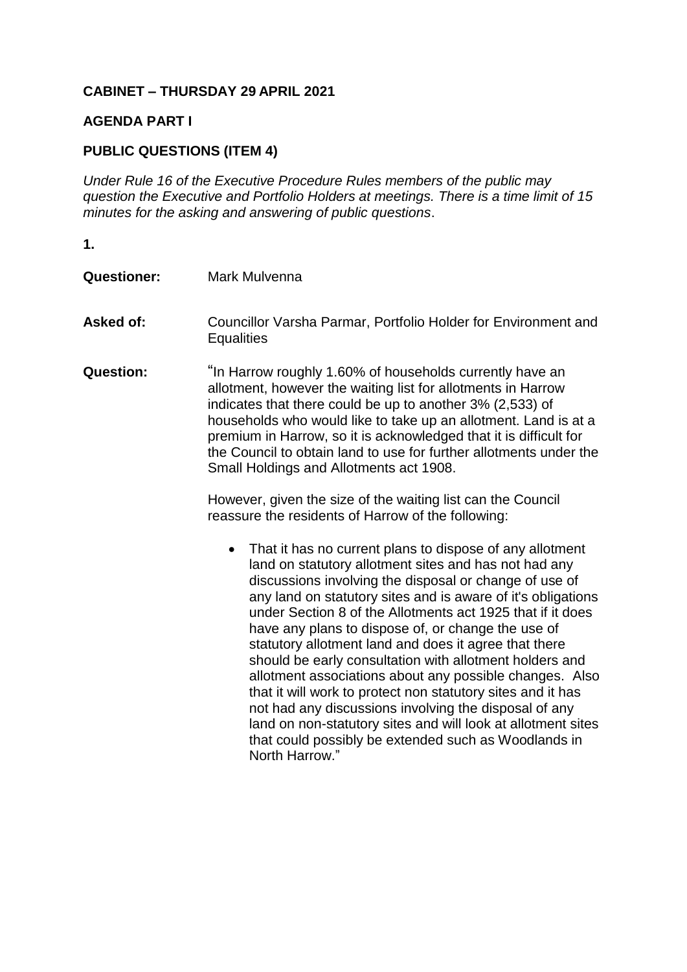## **CABINET – THURSDAY 29 APRIL 2021**

## **AGENDA PART I**

## **PUBLIC QUESTIONS (ITEM 4)**

*Under Rule 16 of the Executive Procedure Rules members of the public may question the Executive and Portfolio Holders at meetings. There is a time limit of 15 minutes for the asking and answering of public questions*.

- **1.**
- **Questioner:** Mark Mulvenna Asked of: Councillor Varsha Parmar, Portfolio Holder for Environment and **Equalities Question:** "In Harrow roughly 1.60% of households currently have an allotment, however the waiting list for allotments in Harrow indicates that there could be up to another 3% (2,533) of households who would like to take up an allotment. Land is at a premium in Harrow, so it is acknowledged that it is difficult for the Council to obtain land to use for further allotments under the Small Holdings and Allotments act 1908. However, given the size of the waiting list can the Council reassure the residents of Harrow of the following:
	- That it has no current plans to dispose of any allotment land on statutory allotment sites and has not had any discussions involving the disposal or change of use of any land on statutory sites and is aware of it's obligations under Section 8 of the Allotments act 1925 that if it does have any plans to dispose of, or change the use of statutory allotment land and does it agree that there should be early consultation with allotment holders and allotment associations about any possible changes. Also that it will work to protect non statutory sites and it has not had any discussions involving the disposal of any land on non-statutory sites and will look at allotment sites that could possibly be extended such as Woodlands in North Harrow."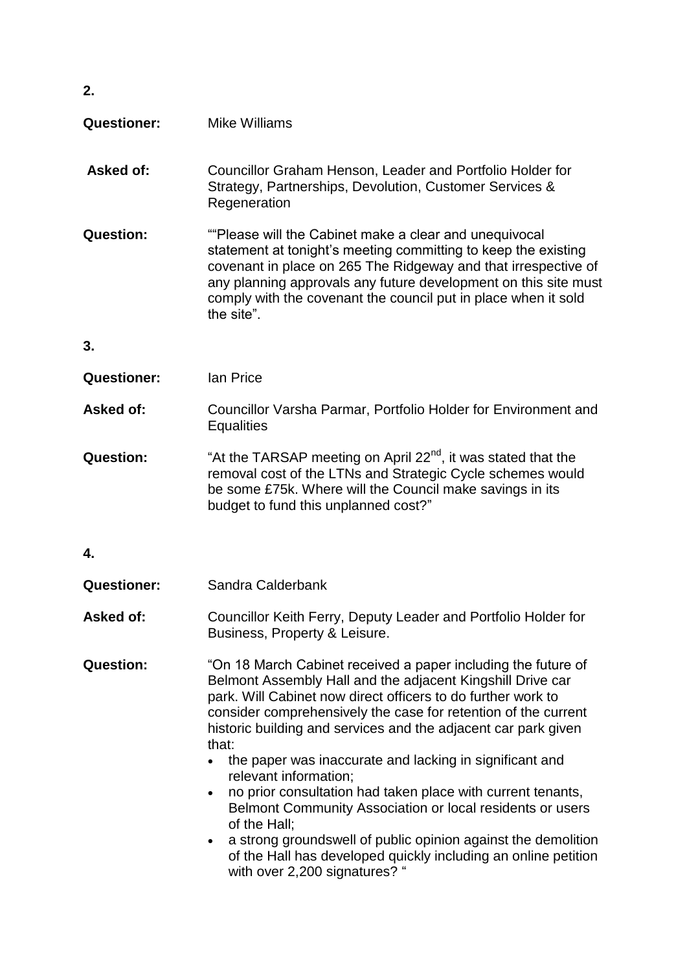| 2.                 |                                                                                                                                                                                                                                                                                                                                                                                                                                                                                                                                                                                                                                                                                                                                                                        |
|--------------------|------------------------------------------------------------------------------------------------------------------------------------------------------------------------------------------------------------------------------------------------------------------------------------------------------------------------------------------------------------------------------------------------------------------------------------------------------------------------------------------------------------------------------------------------------------------------------------------------------------------------------------------------------------------------------------------------------------------------------------------------------------------------|
| <b>Questioner:</b> | Mike Williams                                                                                                                                                                                                                                                                                                                                                                                                                                                                                                                                                                                                                                                                                                                                                          |
| <b>Asked of:</b>   | Councillor Graham Henson, Leader and Portfolio Holder for<br>Strategy, Partnerships, Devolution, Customer Services &<br>Regeneration                                                                                                                                                                                                                                                                                                                                                                                                                                                                                                                                                                                                                                   |
| Question:          | "Please will the Cabinet make a clear and unequivocal<br>statement at tonight's meeting committing to keep the existing<br>covenant in place on 265 The Ridgeway and that irrespective of<br>any planning approvals any future development on this site must<br>comply with the covenant the council put in place when it sold<br>the site"                                                                                                                                                                                                                                                                                                                                                                                                                            |
| 3.                 |                                                                                                                                                                                                                                                                                                                                                                                                                                                                                                                                                                                                                                                                                                                                                                        |
| <b>Questioner:</b> | lan Price                                                                                                                                                                                                                                                                                                                                                                                                                                                                                                                                                                                                                                                                                                                                                              |
| Asked of:          | Councillor Varsha Parmar, Portfolio Holder for Environment and<br><b>Equalities</b>                                                                                                                                                                                                                                                                                                                                                                                                                                                                                                                                                                                                                                                                                    |
| <b>Question:</b>   | "At the TARSAP meeting on April 22 <sup>nd</sup> , it was stated that the<br>removal cost of the LTNs and Strategic Cycle schemes would<br>be some £75k. Where will the Council make savings in its<br>budget to fund this unplanned cost?"                                                                                                                                                                                                                                                                                                                                                                                                                                                                                                                            |
| 4.                 |                                                                                                                                                                                                                                                                                                                                                                                                                                                                                                                                                                                                                                                                                                                                                                        |
| <b>Questioner:</b> | Sandra Calderbank                                                                                                                                                                                                                                                                                                                                                                                                                                                                                                                                                                                                                                                                                                                                                      |
| Asked of:          | Councillor Keith Ferry, Deputy Leader and Portfolio Holder for<br>Business, Property & Leisure.                                                                                                                                                                                                                                                                                                                                                                                                                                                                                                                                                                                                                                                                        |
| <b>Question:</b>   | "On 18 March Cabinet received a paper including the future of<br>Belmont Assembly Hall and the adjacent Kingshill Drive car<br>park. Will Cabinet now direct officers to do further work to<br>consider comprehensively the case for retention of the current<br>historic building and services and the adjacent car park given<br>that:<br>the paper was inaccurate and lacking in significant and<br>relevant information;<br>no prior consultation had taken place with current tenants,<br>$\bullet$<br>Belmont Community Association or local residents or users<br>of the Hall;<br>a strong groundswell of public opinion against the demolition<br>$\bullet$<br>of the Hall has developed quickly including an online petition<br>with over 2,200 signatures? " |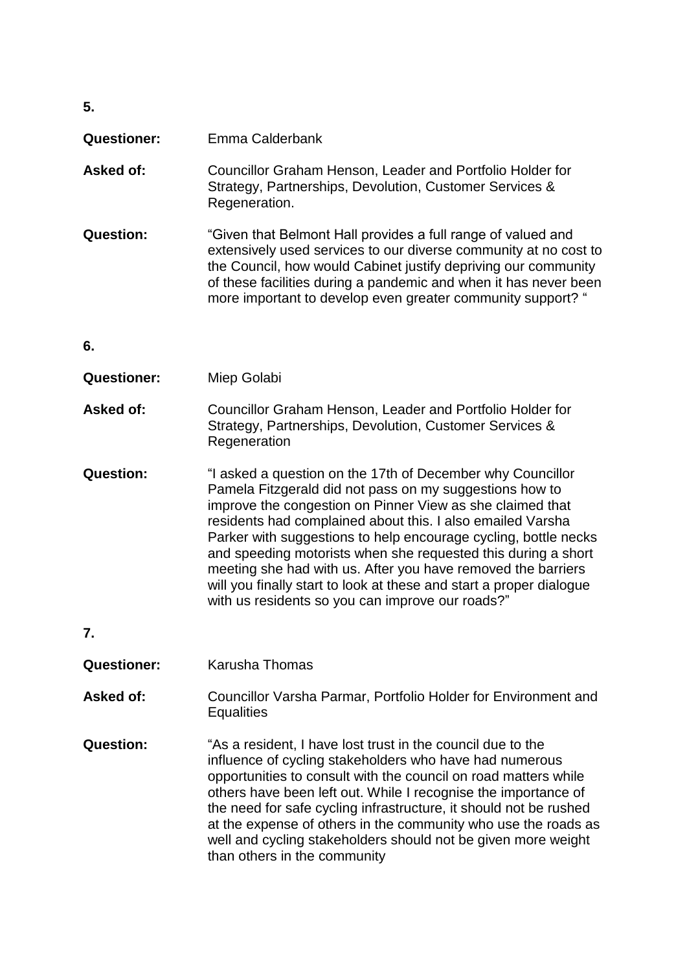| <b>Questioner:</b> | Emma Calderbank                                                                                                                                                                                                                                                                                                                       |
|--------------------|---------------------------------------------------------------------------------------------------------------------------------------------------------------------------------------------------------------------------------------------------------------------------------------------------------------------------------------|
| Asked of:          | Councillor Graham Henson, Leader and Portfolio Holder for<br>Strategy, Partnerships, Devolution, Customer Services &<br>Regeneration.                                                                                                                                                                                                 |
| Question:          | "Given that Belmont Hall provides a full range of valued and<br>extensively used services to our diverse community at no cost to<br>the Council, how would Cabinet justify depriving our community<br>of these facilities during a pandemic and when it has never been<br>more important to develop even greater community support? " |

**6.**

**5.**

- **Questioner:** Miep Golabi
- **Asked of:** Councillor Graham Henson, Leader and Portfolio Holder for Strategy, Partnerships, Devolution, Customer Services & **Regeneration**
- **Question:** "I asked a question on the 17th of December why Councillor Pamela Fitzgerald did not pass on my suggestions how to improve the congestion on Pinner View as she claimed that residents had complained about this. I also emailed Varsha Parker with suggestions to help encourage cycling, bottle necks and speeding motorists when she requested this during a short meeting she had with us. After you have removed the barriers will you finally start to look at these and start a proper dialogue with us residents so you can improve our roads?"
- **7.**
- **Questioner:** Karusha Thomas
- Asked of: Councillor Varsha Parmar, Portfolio Holder for Environment and **Equalities**
- **Question:** "As a resident, I have lost trust in the council due to the influence of cycling stakeholders who have had numerous opportunities to consult with the council on road matters while others have been left out. While I recognise the importance of the need for safe cycling infrastructure, it should not be rushed at the expense of others in the community who use the roads as well and cycling stakeholders should not be given more weight than others in the community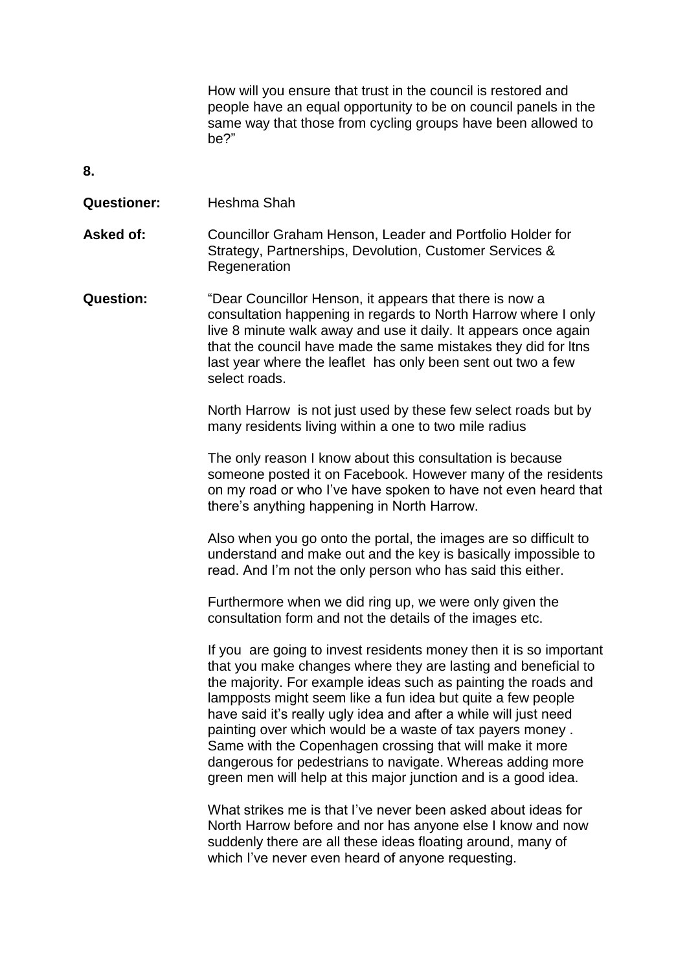How will you ensure that trust in the council is restored and people have an equal opportunity to be on council panels in the same way that those from cycling groups have been allowed to be?"

**8.**

| <b>Questioner:</b> | Heshma Shah                                                                                                                                                                                                                                                                                                                                                                                                                                                                                                                                                                                        |
|--------------------|----------------------------------------------------------------------------------------------------------------------------------------------------------------------------------------------------------------------------------------------------------------------------------------------------------------------------------------------------------------------------------------------------------------------------------------------------------------------------------------------------------------------------------------------------------------------------------------------------|
| <b>Asked of:</b>   | Councillor Graham Henson, Leader and Portfolio Holder for<br>Strategy, Partnerships, Devolution, Customer Services &<br>Regeneration                                                                                                                                                                                                                                                                                                                                                                                                                                                               |
| <b>Question:</b>   | "Dear Councillor Henson, it appears that there is now a<br>consultation happening in regards to North Harrow where I only<br>live 8 minute walk away and use it daily. It appears once again<br>that the council have made the same mistakes they did for Itns<br>last year where the leaflet has only been sent out two a few<br>select roads.                                                                                                                                                                                                                                                    |
|                    | North Harrow is not just used by these few select roads but by<br>many residents living within a one to two mile radius                                                                                                                                                                                                                                                                                                                                                                                                                                                                            |
|                    | The only reason I know about this consultation is because<br>someone posted it on Facebook. However many of the residents<br>on my road or who I've have spoken to have not even heard that<br>there's anything happening in North Harrow.                                                                                                                                                                                                                                                                                                                                                         |
|                    | Also when you go onto the portal, the images are so difficult to<br>understand and make out and the key is basically impossible to<br>read. And I'm not the only person who has said this either.                                                                                                                                                                                                                                                                                                                                                                                                  |
|                    | Furthermore when we did ring up, we were only given the<br>consultation form and not the details of the images etc.                                                                                                                                                                                                                                                                                                                                                                                                                                                                                |
|                    | If you are going to invest residents money then it is so important<br>that you make changes where they are lasting and beneficial to<br>the majority. For example ideas such as painting the roads and<br>lampposts might seem like a fun idea but quite a few people<br>have said it's really ugly idea and after a while will just need<br>painting over which would be a waste of tax payers money.<br>Same with the Copenhagen crossing that will make it more<br>dangerous for pedestrians to navigate. Whereas adding more<br>green men will help at this major junction and is a good idea. |
|                    | What strikes me is that I've never been asked about ideas for<br>North Harrow before and nor has anyone else I know and now<br>suddenly there are all these ideas floating around, many of<br>which I've never even heard of anyone requesting.                                                                                                                                                                                                                                                                                                                                                    |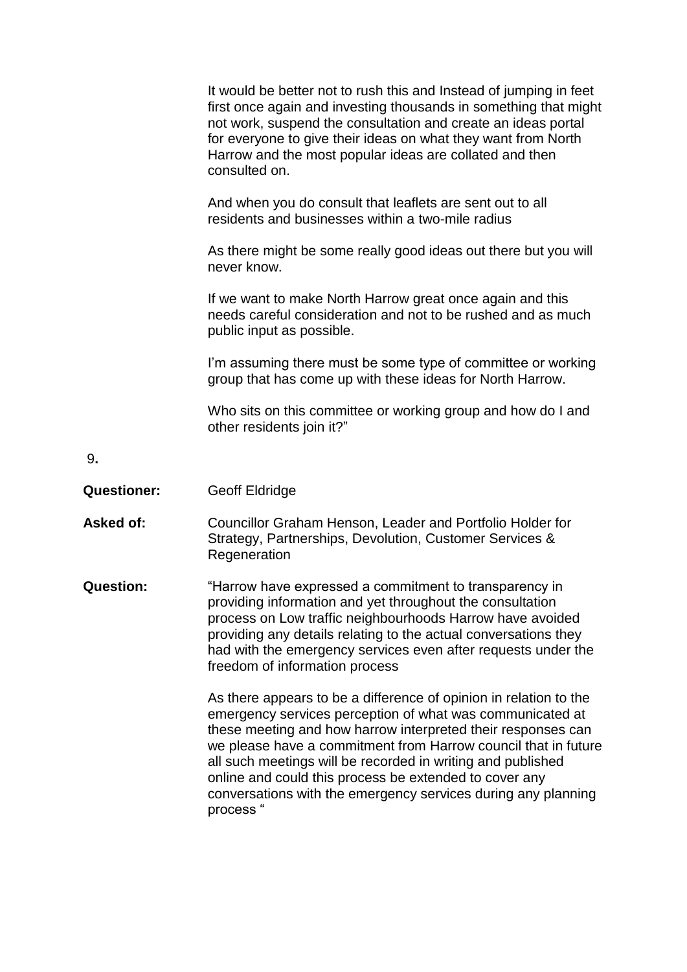|                    | It would be better not to rush this and Instead of jumping in feet<br>first once again and investing thousands in something that might<br>not work, suspend the consultation and create an ideas portal<br>for everyone to give their ideas on what they want from North<br>Harrow and the most popular ideas are collated and then<br>consulted on.                                                                                                                    |
|--------------------|-------------------------------------------------------------------------------------------------------------------------------------------------------------------------------------------------------------------------------------------------------------------------------------------------------------------------------------------------------------------------------------------------------------------------------------------------------------------------|
|                    | And when you do consult that leaflets are sent out to all<br>residents and businesses within a two-mile radius                                                                                                                                                                                                                                                                                                                                                          |
|                    | As there might be some really good ideas out there but you will<br>never know.                                                                                                                                                                                                                                                                                                                                                                                          |
|                    | If we want to make North Harrow great once again and this<br>needs careful consideration and not to be rushed and as much<br>public input as possible.                                                                                                                                                                                                                                                                                                                  |
|                    | I'm assuming there must be some type of committee or working<br>group that has come up with these ideas for North Harrow.                                                                                                                                                                                                                                                                                                                                               |
|                    | Who sits on this committee or working group and how do I and<br>other residents join it?"                                                                                                                                                                                                                                                                                                                                                                               |
| 9.                 |                                                                                                                                                                                                                                                                                                                                                                                                                                                                         |
| <b>Questioner:</b> | <b>Geoff Eldridge</b>                                                                                                                                                                                                                                                                                                                                                                                                                                                   |
| <b>Asked of:</b>   | Councillor Graham Henson, Leader and Portfolio Holder for<br>Strategy, Partnerships, Devolution, Customer Services &<br>Regeneration                                                                                                                                                                                                                                                                                                                                    |
| <b>Question:</b>   | "Harrow have expressed a commitment to transparency in<br>providing information and yet throughout the consultation<br>process on Low traffic neighbourhoods Harrow have avoided<br>providing any details relating to the actual conversations they<br>had with the emergency services even after requests under the<br>freedom of information process                                                                                                                  |
|                    | As there appears to be a difference of opinion in relation to the<br>emergency services perception of what was communicated at<br>these meeting and how harrow interpreted their responses can<br>we please have a commitment from Harrow council that in future<br>all such meetings will be recorded in writing and published<br>online and could this process be extended to cover any<br>conversations with the emergency services during any planning<br>process " |